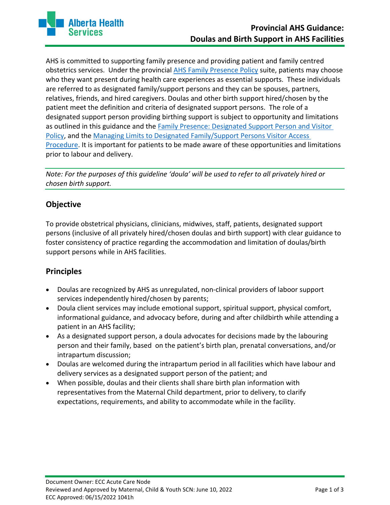

AHS is committed to supporting family presence and providing patient and family centred obstetrics services. Under the provincial [AHS Family Presence Policy](https://www.albertahealthservices.ca/info/Page15436.aspx) suite, patients may choose who they want present during health care experiences as essential supports. These individuals are referred to as designated family/support persons and they can be spouses, partners, relatives, friends, and hired caregivers. Doulas and other birth support hired/chosen by the patient meet the definition and criteria of designated support persons. The role of a designated support person providing birthing support is subject to opportunity and limitations as outlined in this guidance and the Family Presence: Designated Support Person and Visitor [Policy,](https://extranet.ahsnet.ca/teams/policydocuments/1/clp-prov-visitation-family-presence-focus-pol-hcs-199.pdf) and the [Managing Limits to Designated Family/Support Persons Visitor Access](https://extranet.ahsnet.ca/teams/policydocuments/1/clp-prov-visitation-managing-limits-hcs-199-02.pdf)  [Procedure.](https://extranet.ahsnet.ca/teams/policydocuments/1/clp-prov-visitation-managing-limits-hcs-199-02.pdf) It is important for patients to be made aware of these opportunities and limitations prior to labour and delivery.

*Note: For the purposes of this guideline 'doula' will be used to refer to all privately hired or chosen birth support.* 

# **Objective**

To provide obstetrical physicians, clinicians, midwives, staff, patients, designated support persons (inclusive of all privately hired/chosen doulas and birth support) with clear guidance to foster consistency of practice regarding the accommodation and limitation of doulas/birth support persons while in AHS facilities.

### **Principles**

- Doulas are recognized by AHS as unregulated, non-clinical providers of laboor support services independently hired/chosen by parents;
- Doula client services may include emotional support, spiritual support, physical comfort, informational guidance, and advocacy before, during and after childbirth while attending a patient in an AHS facility;
- As a designated support person, a doula advocates for decisions made by the labouring person and their family, based on the patient's birth plan, prenatal conversations, and/or intrapartum discussion;
- Doulas are welcomed during the intrapartum period in all facilities which have labour and delivery services as a designated support person of the patient; and
- When possible, doulas and their clients shall share birth plan information with representatives from the Maternal Child department, prior to delivery, to clarify expectations, requirements, and ability to accommodate while in the facility.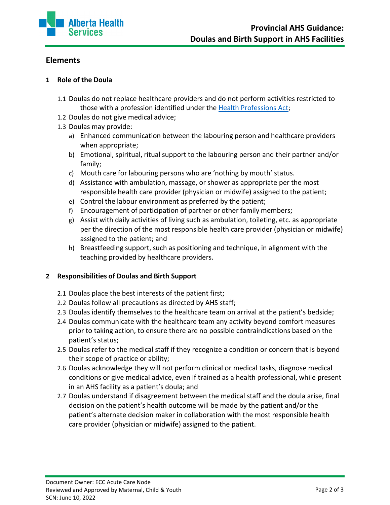

# **Elements**

#### **1 Role of the Doula**

- 1.1 Doulas do not replace healthcare providers and do not perform activities restricted to those with a profession identified under the [Health Professions Act;](https://www.qp.alberta.ca/documents/Acts/H07.pdf)
- 1.2 Doulas do not give medical advice;
- 1.3 Doulas may provide:
	- a) Enhanced communication between the labouring person and healthcare providers when appropriate;
	- b) Emotional, spiritual, ritual support to the labouring person and their partner and/or family;
	- c) Mouth care for labouring persons who are 'nothing by mouth' status.
	- d) Assistance with ambulation, massage, or shower as appropriate per the most responsible health care provider (physician or midwife) assigned to the patient;
	- e) Control the labour environment as preferred by the patient;
	- f) Encouragement of participation of partner or other family members;
	- g) Assist with daily activities of living such as ambulation, toileting, etc. as appropriate per the direction of the most responsible health care provider (physician or midwife) assigned to the patient; and
	- h) Breastfeeding support, such as positioning and technique, in alignment with the teaching provided by healthcare providers.

#### **2 Responsibilities of Doulas and Birth Support**

- 2.1 Doulas place the best interests of the patient first;
- 2.2 Doulas follow all precautions as directed by AHS staff;
- 2.3 Doulas identify themselves to the healthcare team on arrival at the patient's bedside;
- 2.4 Doulas communicate with the healthcare team any activity beyond comfort measures prior to taking action, to ensure there are no possible contraindications based on the patient's status;
- 2.5 Doulas refer to the medical staff if they recognize a condition or concern that is beyond their scope of practice or ability;
- 2.6 Doulas acknowledge they will not perform clinical or medical tasks, diagnose medical conditions or give medical advice, even if trained as a health professional, while present in an AHS facility as a patient's doula; and
- 2.7 Doulas understand if disagreement between the medical staff and the doula arise, final decision on the patient's health outcome will be made by the patient and/or the patient's alternate decision maker in collaboration with the most responsible health care provider (physician or midwife) assigned to the patient.